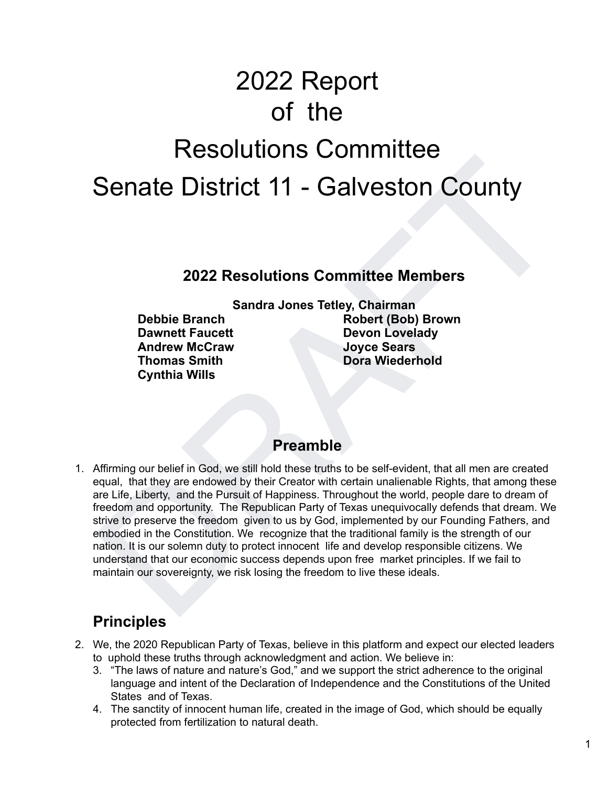# 2022 Report of the Resolutions Committee Senate District 11 - Galveston County

#### **2022 Resolutions Committee Members**

**Dawnett Faucett Communisty Communisty Devon Lovelady Andrew McCraw Joyce Sears Thomas Smith Dora Wiederhold Communist Property Cynthia Wills** 

**Sandra Jones Tetley, Chairman Debbie Branch Communist Robert (Bob) Brown** 

#### **Preamble**

Senate District 11 - Galveston County<br>
2022 Resolutions Committee Members<br>
Sandra Jones Tetley, Chairman<br>
Debbie Branch<br>
David Craw<br>
David Craw<br>
More Record (Bob) Brown<br>
David Craw<br>
Moreal Andrew More (Bob) Brown<br>
More Wei 1. Affirming our belief in God, we still hold these truths to be self-evident, that all men are created equal, that they are endowed by their Creator with certain unalienable Rights, that among these are Life, Liberty, and the Pursuit of Happiness. Throughout the world, people dare to dream of freedom and opportunity. The Republican Party of Texas unequivocally defends that dream. We strive to preserve the freedom given to us by God, implemented by our Founding Fathers, and embodied in the Constitution. We recognize that the traditional family is the strength of our nation. It is our solemn duty to protect innocent life and develop responsible citizens. We understand that our economic success depends upon free market principles. If we fail to maintain our sovereignty, we risk losing the freedom to live these ideals.

# **Principles**

- 2. We, the 2020 Republican Party of Texas, believe in this platform and expect our elected leaders to uphold these truths through acknowledgment and action. We believe in:
	- 3. "The laws of nature and nature's God," and we support the strict adherence to the original language and intent of the Declaration of Independence and the Constitutions of the United States and of Texas.
	- 4. The sanctity of innocent human life, created in the image of God, which should be equally protected from fertilization to natural death.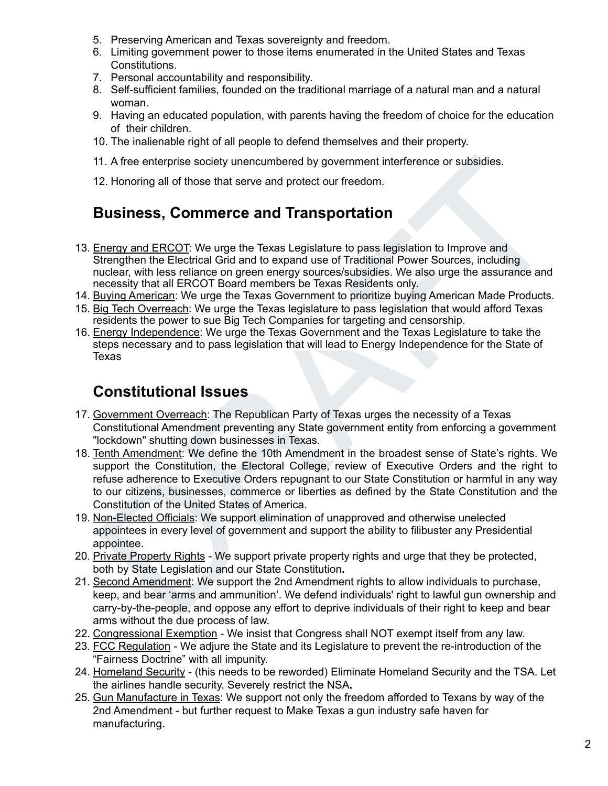- 5. Preserving American and Texas sovereignty and freedom.
- 6. Limiting government power to those items enumerated in the United States and Texas Constitutions.
- 7. Personal accountability and responsibility.
- 8. Self-sufficient families, founded on the traditional marriage of a natural man and a natural woman.
- 9. Having an educated population, with parents having the freedom of choice for the education of their children.
- 10. The inalienable right of all people to defend themselves and their property.
- 11. A free enterprise society unencumbered by government interference or subsidies.
- 12. Honoring all of those that serve and protect our freedom.

## **Business, Commerce and Transportation**

- 13. Energy and ERCOT: We urge the Texas Legislature to pass legislation to Improve and Strengthen the Electrical Grid and to expand use of Traditional Power Sources, including nuclear, with less reliance on green energy sources/subsidies. We also urge the assurance and necessity that all ERCOT Board members be Texas Residents only.
- 14. Buying American: We urge the Texas Government to prioritize buying American Made Products.
- 15. Big Tech Overreach: We urge the Texas legislature to pass legislation that would afford Texas residents the power to sue Big Tech Companies for targeting and censorship.
- 16. Energy Independence: We urge the Texas Government and the Texas Legislature to take the steps necessary and to pass legislation that will lead to Energy Independence for the State of Texas

## **Constitutional Issues**

- 17. Government Overreach: The Republican Party of Texas urges the necessity of a Texas Constitutional Amendment preventing any State government entity from enforcing a government "lockdown" shutting down businesses in Texas.
- 11. A free enterprise society unencumbered by government interference or subsidies.<br>
22. Honoring all of those that serve and protect our freedom.<br> **BUSINESS, Commerce and Transportation**<br>
Energy and ERCOT: We urge the Tex 18. Tenth Amendment: We define the 10th Amendment in the broadest sense of State's rights. We support the Constitution, the Electoral College, review of Executive Orders and the right to refuse adherence to Executive Orders repugnant to our State Constitution or harmful in any way to our citizens, businesses, commerce or liberties as defined by the State Constitution and the Constitution of the United States of America.
- 19. Non-Elected Officials: We support elimination of unapproved and otherwise unelected appointees in every level of government and support the ability to filibuster any Presidential appointee.
- 20. Private Property Rights We support private property rights and urge that they be protected, both by State Legislation and our State Constitution**.**
- 21. Second Amendment: We support the 2nd Amendment rights to allow individuals to purchase, keep, and bear 'arms and ammunition'. We defend individuals' right to lawful gun ownership and carry-by-the-people, and oppose any effort to deprive individuals of their right to keep and bear arms without the due process of law.
- 22. Congressional Exemption We insist that Congress shall NOT exempt itself from any law.
- 23. FCC Regulation We adjure the State and its Legislature to prevent the re-introduction of the "Fairness Doctrine" with all impunity.
- 24. Homeland Security (this needs to be reworded) Eliminate Homeland Security and the TSA. Let the airlines handle security. Severely restrict the NSA**.**
- 25. Gun Manufacture in Texas: We support not only the freedom afforded to Texans by way of the 2nd Amendment - but further request to Make Texas a gun industry safe haven for manufacturing.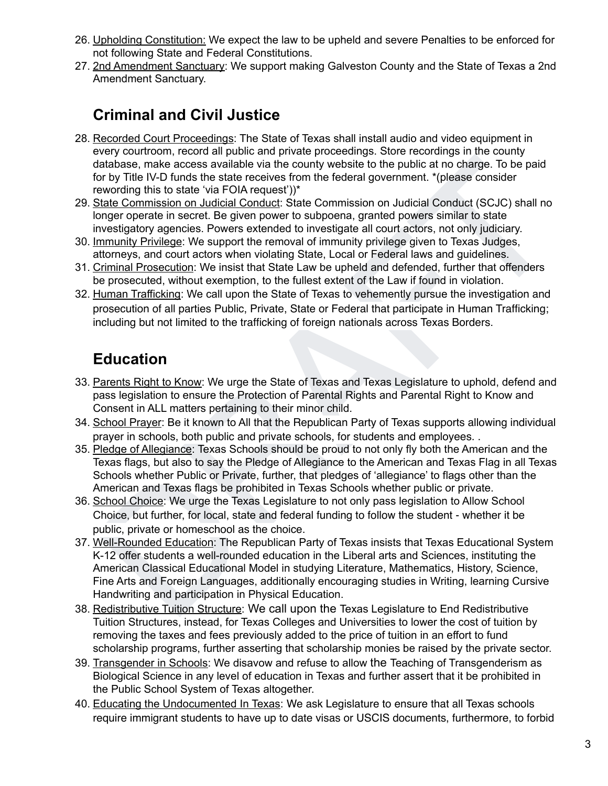- 26. Upholding Constitution: We expect the law to be upheld and severe Penalties to be enforced for not following State and Federal Constitutions.
- 27. 2nd Amendment Sanctuary: We support making Galveston County and the State of Texas a 2nd Amendment Sanctuary.

# **Criminal and Civil Justice**

- 28. Recorded Court Proceedings: The State of Texas shall install audio and video equipment in every courtroom, record all public and private proceedings. Store recordings in the county database, make access available via the county website to the public at no charge. To be paid for by Title IV-D funds the state receives from the federal government. \*(please consider rewording this to state 'via FOIA request'))\*
- 29. State Commission on Judicial Conduct: State Commission on Judicial Conduct (SCJC) shall no longer operate in secret. Be given power to subpoena, granted powers similar to state investigatory agencies. Powers extended to investigate all court actors, not only judiciary.
- 30. Immunity Privilege: We support the removal of immunity privilege given to Texas Judges, attorneys, and court actors when violating State, Local or Federal laws and guidelines.
- 31. Criminal Prosecution: We insist that State Law be upheld and defended, further that offenders be prosecuted, without exemption, to the fullest extent of the Law if found in violation.
- 32. Human Trafficking: We call upon the State of Texas to vehemently pursue the investigation and prosecution of all parties Public, Private, State or Federal that participate in Human Trafficking; including but not limited to the trafficking of foreign nationals across Texas Borders.

# **Education**

- 33. Parents Right to Know: We urge the State of Texas and Texas Legislature to uphold, defend and pass legislation to ensure the Protection of Parental Rights and Parental Right to Know and Consent in ALL matters pertaining to their minor child.
- 34. School Prayer: Be it known to All that the Republican Party of Texas supports allowing individual prayer in schools, both public and private schools, for students and employees. .
- 35. Pledge of Allegiance: Texas Schools should be proud to not only fly both the American and the Texas flags, but also to say the Pledge of Allegiance to the American and Texas Flag in all Texas Schools whether Public or Private, further, that pledges of 'allegiance' to flags other than the American and Texas flags be prohibited in Texas Schools whether public or private.
- 36. School Choice: We urge the Texas Legislature to not only pass legislation to Allow School Choice, but further, for local, state and federal funding to follow the student - whether it be public, private or homeschool as the choice.
- Istanbase, make access available wia the county website to the public at no charge. To be paid<br>or by Tile IV-D funds the state receives from the federal government. "(please consider<br>or by Tile IV-D funds the state receive 37. Well-Rounded Education: The Republican Party of Texas insists that Texas Educational System K-12 offer students a well-rounded education in the Liberal arts and Sciences, instituting the American Classical Educational Model in studying Literature, Mathematics, History, Science, Fine Arts and Foreign Languages, additionally encouraging studies in Writing, learning Cursive Handwriting and participation in Physical Education.
- 38. Redistributive Tuition Structure: We call upon the Texas Legislature to End Redistributive Tuition Structures, instead, for Texas Colleges and Universities to lower the cost of tuition by removing the taxes and fees previously added to the price of tuition in an effort to fund scholarship programs, further asserting that scholarship monies be raised by the private sector.
- 39. Transgender in Schools: We disavow and refuse to allow the Teaching of Transgenderism as Biological Science in any level of education in Texas and further assert that it be prohibited in the Public School System of Texas altogether.
- 40. Educating the Undocumented In Texas: We ask Legislature to ensure that all Texas schools require immigrant students to have up to date visas or USCIS documents, furthermore, to forbid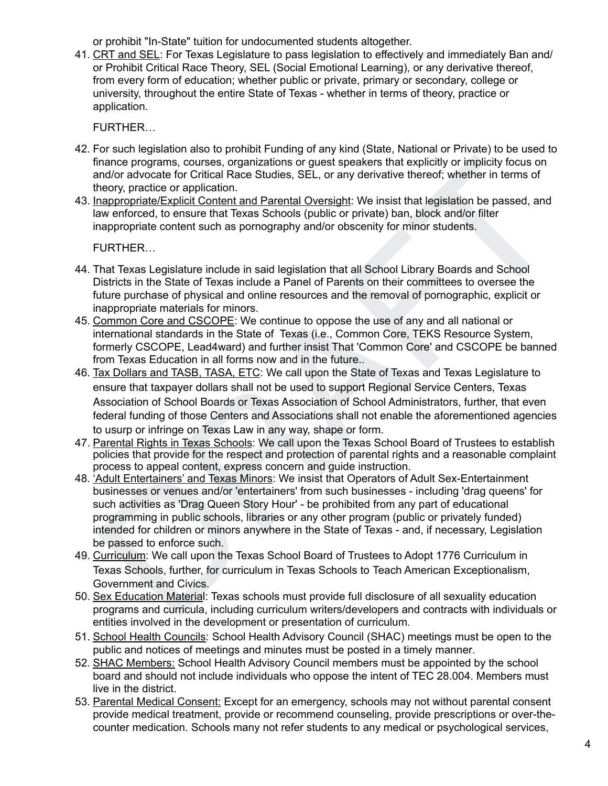or prohibit "In-State" tuition for undocumented students altogether.

41. CRT and SEL: For Texas Legislature to pass legislation to effectively and immediately Ban and/ or Prohibit Critical Race Theory, SEL (Social Emotional Learning), or any derivative thereof, from every form of education; whether public or private, primary or secondary, college or university, throughout the entire State of Texas - whether in terms of theory, practice or application.

FURTHER…

- 42. For such legislation also to prohibit Funding of any kind (State, National or Private) to be used to finance programs, courses, organizations or guest speakers that explicitly or implicity focus on and/or advocate for Critical Race Studies, SEL, or any derivative thereof; whether in terms of theory, practice or application.
- 43. Inappropriate/Explicit Content and Parental Oversight: We insist that legislation be passed, and law enforced, to ensure that Texas Schools (public or private) ban, block and/or filter inappropriate content such as pornography and/or obscenity for minor students.

FURTHER…

- 44. That Texas Legislature include in said legislation that all School Library Boards and School Districts in the State of Texas include a Panel of Parents on their committees to oversee the future purchase of physical and online resources and the removal of pornographic, explicit or inappropriate materials for minors.
- 45. Common Core and CSCOPE: We continue to oppose the use of any and all national or international standards in the State of Texas (i.e., Common Core, TEKS Resource System, formerly CSCOPE, Lead4ward) and further insist That 'Common Core' and CSCOPE be banned from Texas Education in all forms now and in the future..
- 46. Tax Dollars and TASB, TASA, ETC: We call upon the State of Texas and Texas Legislature to ensure that taxpayer dollars shall not be used to support Regional Service Centers, Texas Association of School Boards or Texas Association of School Administrators, further, that even federal funding of those Centers and Associations shall not enable the aforementioned agencies to usurp or infringe on Texas Law in any way, shape or form.
- 47. Parental Rights in Texas Schools: We call upon the Texas School Board of Trustees to establish policies that provide for the respect and protection of parental rights and a reasonable complaint process to appeal content, express concern and guide instruction.
- inance programs, courses, organizations or guest speakers that explicitly or implicity change programs, courses or any derivative thereof; whether in terms of heory, practice or application.<br>Hence programs and the mean ter 48. 'Adult Entertainers' and Texas Minors: We insist that Operators of Adult Sex-Entertainment businesses or venues and/or 'entertainers' from such businesses - including 'drag queens' for such activities as 'Drag Queen Story Hour' - be prohibited from any part of educational programming in public schools, libraries or any other program (public or privately funded) intended for children or minors anywhere in the State of Texas - and, if necessary, Legislation be passed to enforce such.
- 49. Curriculum: We call upon the Texas School Board of Trustees to Adopt 1776 Curriculum in Texas Schools, further, for curriculum in Texas Schools to Teach American Exceptionalism, Government and Civics.
- 50. Sex Education Material: Texas schools must provide full disclosure of all sexuality education programs and curricula, including curriculum writers/developers and contracts with individuals or entities involved in the development or presentation of curriculum.
- 51. School Health Councils: School Health Advisory Council (SHAC) meetings must be open to the public and notices of meetings and minutes must be posted in a timely manner.
- 52. SHAC Members: School Health Advisory Council members must be appointed by the school board and should not include individuals who oppose the intent of TEC 28.004. Members must live in the district.
- 53. Parental Medical Consent: Except for an emergency, schools may not without parental consent provide medical treatment, provide or recommend counseling, provide prescriptions or over-thecounter medication. Schools many not refer students to any medical or psychological services,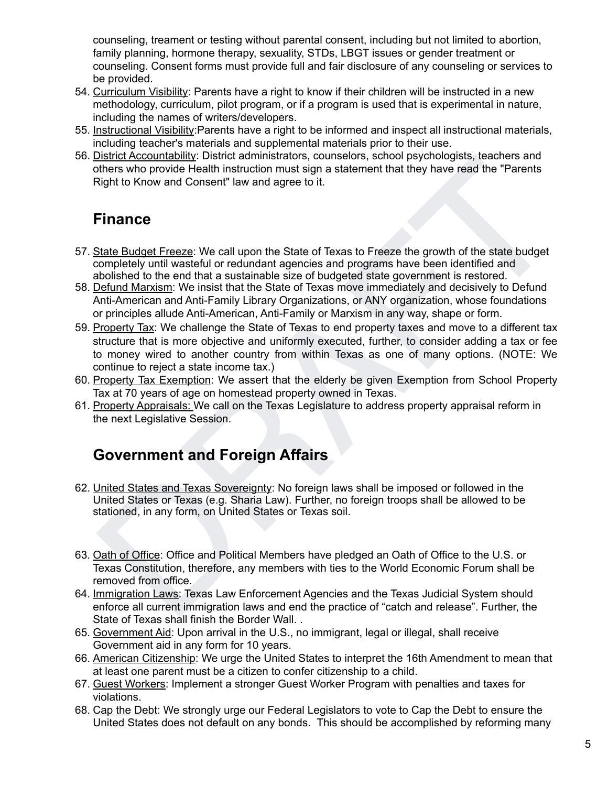counseling, treament or testing without parental consent, including but not limited to abortion, family planning, hormone therapy, sexuality, STDs, LBGT issues or gender treatment or counseling. Consent forms must provide full and fair disclosure of any counseling or services to be provided.

- 54. Curriculum Visibility: Parents have a right to know if their children will be instructed in a new methodology, curriculum, pilot program, or if a program is used that is experimental in nature, including the names of writers/developers.
- 55. Instructional Visibility:Parents have a right to be informed and inspect all instructional materials, including teacher's materials and supplemental materials prior to their use.
- 56. District Accountability: District administrators, counselors, school psychologists, teachers and others who provide Health instruction must sign a statement that they have read the "Parents Right to Know and Consent" law and agree to it.

### **Finance**

- 57. State Budget Freeze: We call upon the State of Texas to Freeze the growth of the state budget completely until wasteful or redundant agencies and programs have been identified and abolished to the end that a sustainable size of budgeted state government is restored.
- 58. Defund Marxism: We insist that the State of Texas move immediately and decisively to Defund Anti-American and Anti-Family Library Organizations, or ANY organization, whose foundations or principles allude Anti-American, Anti-Family or Marxism in any way, shape or form.
- ustraces the product of the main strate aromation of conselects, scoreo by every and the extends and the U.S. or<br>there who provide Health instruction must sign a statement that they have read the "Parents"<br>Sight to Know an 59. Property Tax: We challenge the State of Texas to end property taxes and move to a different tax structure that is more objective and uniformly executed, further, to consider adding a tax or fee to money wired to another country from within Texas as one of many options. (NOTE: We continue to reject a state income tax.)
- 60. Property Tax Exemption: We assert that the elderly be given Exemption from School Property Tax at 70 years of age on homestead property owned in Texas.
- 61. Property Appraisals: We call on the Texas Legislature to address property appraisal reform in the next Legislative Session.

## **Government and Foreign Affairs**

- 62. United States and Texas Sovereignty: No foreign laws shall be imposed or followed in the United States or Texas (e.g. Sharia Law). Further, no foreign troops shall be allowed to be stationed, in any form, on United States or Texas soil.
- 63. Oath of Office: Office and Political Members have pledged an Oath of Office to the U.S. or Texas Constitution, therefore, any members with ties to the World Economic Forum shall be removed from office.
- 64. Immigration Laws: Texas Law Enforcement Agencies and the Texas Judicial System should enforce all current immigration laws and end the practice of "catch and release". Further, the State of Texas shall finish the Border Wall. .
- 65. Government Aid: Upon arrival in the U.S., no immigrant, legal or illegal, shall receive Government aid in any form for 10 years.
- 66. American Citizenship: We urge the United States to interpret the 16th Amendment to mean that at least one parent must be a citizen to confer citizenship to a child.
- 67. Guest Workers: Implement a stronger Guest Worker Program with penalties and taxes for violations.
- 68. Cap the Debt: We strongly urge our Federal Legislators to vote to Cap the Debt to ensure the United States does not default on any bonds. This should be accomplished by reforming many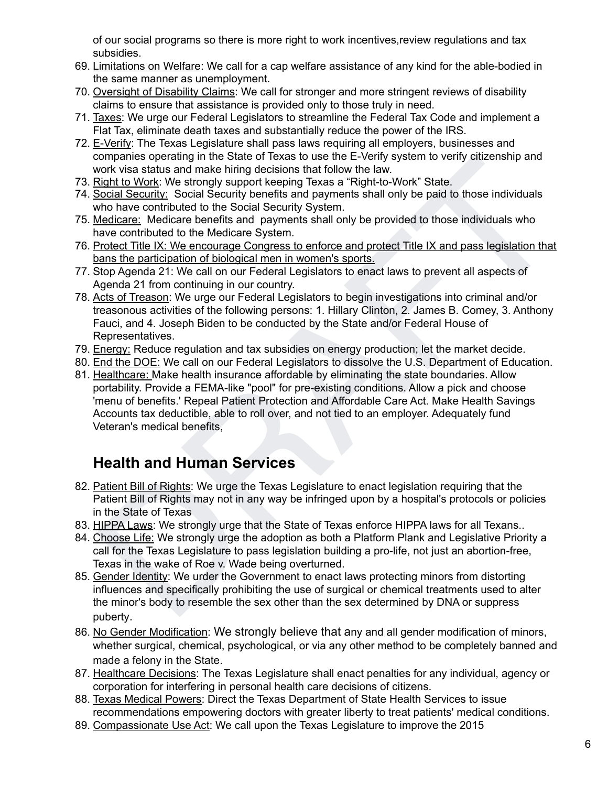of our social programs so there is more right to work incentives,review regulations and tax subsidies.

- 69. Limitations on Welfare: We call for a cap welfare assistance of any kind for the able-bodied in the same manner as unemployment.
- 70. Oversight of Disability Claims: We call for stronger and more stringent reviews of disability claims to ensure that assistance is provided only to those truly in need.
- 71. Taxes: We urge our Federal Legislators to streamline the Federal Tax Code and implement a Flat Tax, eliminate death taxes and substantially reduce the power of the IRS.
- 72. E-Verify: The Texas Legislature shall pass laws requiring all employers, businesses and companies operating in the State of Texas to use the E-Verify system to verify citizenship and work visa status and make hiring decisions that follow the law.
- 73. Right to Work: We strongly support keeping Texas a "Right-to-Work" State.
- 74. Social Security: Social Security benefits and payments shall only be paid to those individuals who have contributed to the Social Security System.
- 75. Medicare: Medicare benefits and payments shall only be provided to those individuals who have contributed to the Medicare System.
- 76. Protect Title IX: We encourage Congress to enforce and protect Title IX and pass legislation that bans the participation of biological men in women's sports.
- 77. Stop Agenda 21: We call on our Federal Legislators to enact laws to prevent all aspects of Agenda 21 from continuing in our country.
- 78. Acts of Treason: We urge our Federal Legislators to begin investigations into criminal and/or treasonous activities of the following persons: 1. Hillary Clinton, 2. James B. Comey, 3. Anthony Fauci, and 4. Joseph Biden to be conducted by the State and/or Federal House of Representatives.
- 79. Energy: Reduce regulation and tax subsidies on energy production; let the market decide.
- 80. End the DOE: We call on our Federal Legislators to dissolve the U.S. Department of Education.
- companies operating in the State or leads to use the ne-verify system to verify cazerising and<br>conditions that the State or leads to use the ne-verify system. Work was assumed mate hing decisions that follow the law.<br>Cold 81. Healthcare: Make health insurance affordable by eliminating the state boundaries. Allow portability. Provide a FEMA-like "pool" for pre-existing conditions. Allow a pick and choose 'menu of benefits.' Repeal Patient Protection and Affordable Care Act. Make Health Savings Accounts tax deductible, able to roll over, and not tied to an employer. Adequately fund Veteran's medical benefits,

# **Health and Human Services**

- 82. Patient Bill of Rights: We urge the Texas Legislature to enact legislation requiring that the Patient Bill of Rights may not in any way be infringed upon by a hospital's protocols or policies in the State of Texas
- 83. HIPPA Laws: We strongly urge that the State of Texas enforce HIPPA laws for all Texans..
- 84. Choose Life: We strongly urge the adoption as both a Platform Plank and Legislative Priority a call for the Texas Legislature to pass legislation building a pro-life, not just an abortion-free, Texas in the wake of Roe v. Wade being overturned.
- 85. Gender Identity: We urder the Government to enact laws protecting minors from distorting influences and specifically prohibiting the use of surgical or chemical treatments used to alter the minor's body to resemble the sex other than the sex determined by DNA or suppress puberty.
- 86. No Gender Modification: We strongly believe that any and all gender modification of minors, whether surgical, chemical, psychological, or via any other method to be completely banned and made a felony in the State.
- 87. Healthcare Decisions: The Texas Legislature shall enact penalties for any individual, agency or corporation for interfering in personal health care decisions of citizens.
- 88. Texas Medical Powers: Direct the Texas Department of State Health Services to issue recommendations empowering doctors with greater liberty to treat patients' medical conditions.
- 89. Compassionate Use Act: We call upon the Texas Legislature to improve the 2015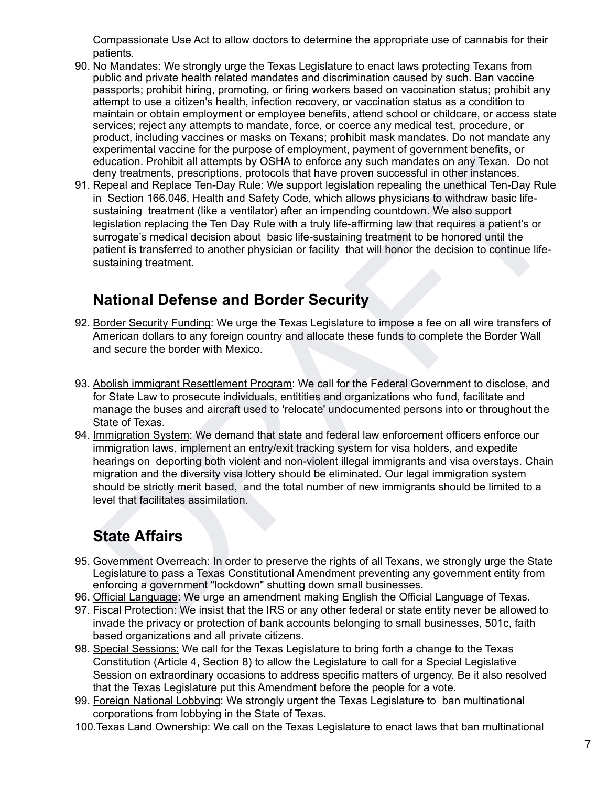Compassionate Use Act to allow doctors to determine the appropriate use of cannabis for their patients.

- 90. No Mandates: We strongly urge the Texas Legislature to enact laws protecting Texans from public and private health related mandates and discrimination caused by such. Ban vaccine passports; prohibit hiring, promoting, or firing workers based on vaccination status; prohibit any attempt to use a citizen's health, infection recovery, or vaccination status as a condition to maintain or obtain employment or employee benefits, attend school or childcare, or access state services; reject any attempts to mandate, force, or coerce any medical test, procedure, or product, including vaccines or masks on Texans; prohibit mask mandates. Do not mandate any experimental vaccine for the purpose of employment, payment of government benefits, or education. Prohibit all attempts by OSHA to enforce any such mandates on any Texan. Do not deny treatments, prescriptions, protocols that have proven successful in other instances.
- education. Probibit all attempts by OSHA to enforce any such mandates on any Texan. Do not<br>eleny treatments, prescriptions, protocols that have proven successful in other instances.<br>Repeal and Replace Ten-Day Rule: We supp 91. Repeal and Replace Ten-Day Rule: We support legislation repealing the unethical Ten-Day Rule in Section 166.046, Health and Safety Code, which allows physicians to withdraw basic lifesustaining treatment (like a ventilator) after an impending countdown. We also support legislation replacing the Ten Day Rule with a truly life-affirming law that requires a patient's or surrogate's medical decision about basic life-sustaining treatment to be honored until the patient is transferred to another physician or facility that will honor the decision to continue lifesustaining treatment.

### **National Defense and Border Security**

- 92. Border Security Funding: We urge the Texas Legislature to impose a fee on all wire transfers of American dollars to any foreign country and allocate these funds to complete the Border Wall and secure the border with Mexico.
- 93. Abolish immigrant Resettlement Program: We call for the Federal Government to disclose, and for State Law to prosecute individuals, entitities and organizations who fund, facilitate and manage the buses and aircraft used to 'relocate' undocumented persons into or throughout the State of Texas.
- 94. Immigration System: We demand that state and federal law enforcement officers enforce our immigration laws, implement an entry/exit tracking system for visa holders, and expedite hearings on deporting both violent and non-violent illegal immigrants and visa overstays. Chain migration and the diversity visa lottery should be eliminated. Our legal immigration system should be strictly merit based, and the total number of new immigrants should be limited to a level that facilitates assimilation.

# **State Affairs**

- 95. Government Overreach: In order to preserve the rights of all Texans, we strongly urge the State Legislature to pass a Texas Constitutional Amendment preventing any government entity from enforcing a government "lockdown" shutting down small businesses.
- 96. Official Language: We urge an amendment making English the Official Language of Texas.
- 97. Fiscal Protection: We insist that the IRS or any other federal or state entity never be allowed to invade the privacy or protection of bank accounts belonging to small businesses, 501c, faith based organizations and all private citizens.
- 98. Special Sessions: We call for the Texas Legislature to bring forth a change to the Texas Constitution (Article 4, Section 8) to allow the Legislature to call for a Special Legislative Session on extraordinary occasions to address specific matters of urgency. Be it also resolved that the Texas Legislature put this Amendment before the people for a vote.
- 99. Foreign National Lobbying: We strongly urgent the Texas Legislature to ban multinational corporations from lobbying in the State of Texas.
- 100.Texas Land Ownership: We call on the Texas Legislature to enact laws that ban multinational